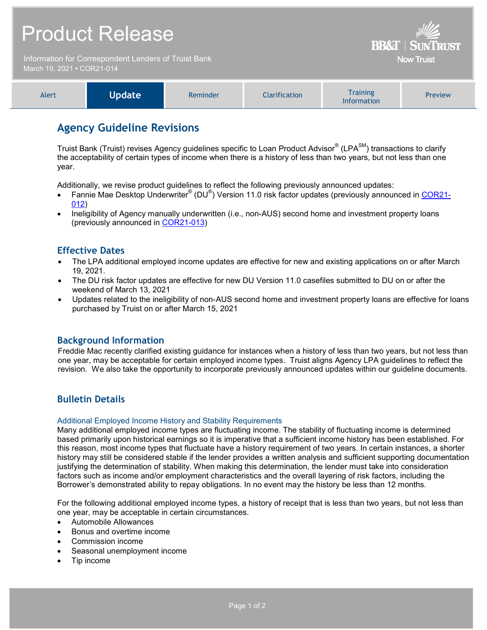| <b>Product Release</b>                                                             |               |          |               | <b>BB&amp;T   SUNTRUST</b>                                      |         |
|------------------------------------------------------------------------------------|---------------|----------|---------------|-----------------------------------------------------------------|---------|
| Information for Correspondent Lenders of Truist Bank<br>March 19, 2021 • COR21-014 |               |          |               | <b>Now Truist</b>                                               |         |
| Alert                                                                              | <b>Update</b> | Reminder | Clarification | <b>Training</b><br><b>Line Construction of the Construction</b> | Preview |

## **Agency Guideline Revisions**

Truist Bank (Truist) revises Agency guidelines specific to Loan Product Advisor® (LPA<sup>SM</sup>) transactions to clarify the acceptability of certain types of income when there is a history of less than two years, but not less than one year.

Information

Additionally, we revise product guidelines to reflect the following previously announced updates:

- Fannie Mae Desktop Underwriter® (DU<sup>®</sup>) Version 11.0 risk factor updates (previously announced in [COR21-](https://www.truistsellerguide.com/Manual/cor/bulletins/archive/Cr21-012.pdf) [012\)](https://www.truistsellerguide.com/Manual/cor/bulletins/archive/Cr21-012.pdf)
- Ineligibility of Agency manually underwritten (i.e., non-AUS) second home and investment property loans (previously announced in [COR21-013\)](https://www.truistsellerguide.com/Manual/cor/bulletins/archive/Cr21-013.pdf)

## **Effective Dates**

- The LPA additional employed income updates are effective for new and existing applications on or after March 19, 2021.
- The DU risk factor updates are effective for new DU Version 11.0 casefiles submitted to DU on or after the weekend of March 13, 2021
- Updates related to the ineligibility of non-AUS second home and investment property loans are effective for loans purchased by Truist on or after March 15, 2021

### **Background Information**

Freddie Mac recently clarified existing guidance for instances when a history of less than two years, but not less than one year, may be acceptable for certain employed income types. Truist aligns Agency LPA guidelines to reflect the revision. We also take the opportunity to incorporate previously announced updates within our guideline documents.

## **Bulletin Details**

#### Additional Employed Income History and Stability Requirements

Many additional employed income types are fluctuating income. The stability of fluctuating income is determined based primarily upon historical earnings so it is imperative that a sufficient income history has been established. For this reason, most income types that fluctuate have a history requirement of two years. In certain instances, a shorter history may still be considered stable if the lender provides a written analysis and sufficient supporting documentation justifying the determination of stability. When making this determination, the lender must take into consideration factors such as income and/or employment characteristics and the overall layering of risk factors, including the Borrower's demonstrated ability to repay obligations. In no event may the history be less than 12 months.

For the following additional employed income types, a history of receipt that is less than two years, but not less than one year, may be acceptable in certain circumstances.

- Automobile Allowances
- Bonus and overtime income
- Commission income
- Seasonal unemployment income
- Tip income